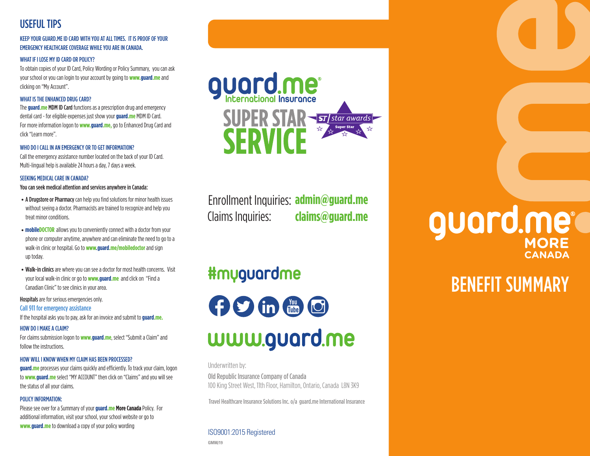### USEFUL TIPS

#### KEEP YOUR GUARD.ME ID CARD WITH YOU AT ALL TIMES. IT IS PROOF OF YOUR EMERGENCY HEALTHCARE COVERAGE WHILE YOU ARE IN CANADA.

#### WHAT IF I LOSE MY ID CARD OR POLICY?

To obtain copies of your ID Card, Policy Wording or Policy Summary, you can ask your school or you can login to your account by going to **www.guard.me** and clicking on "My Account".

#### WHAT IS THE ENHANCED DRUG CARD?

The **guard.me** MDM ID Card functions as a prescription drug and emergency dental card - for eligible expenses just show your **guard.me** MDM ID Card. For more information logon to **www.guard.me,** go to Enhanced Drug Card and click "Learn more".

#### WHO DO I CALL IN AN EMERGENCY OR TO GET INFORMATION?

Call the emergency assistance number located on the back of your ID Card. Multi-lingual help is available 24 hours a day, 7 days a week.

#### SEEKING MEDICAL CARE IN CANADA?

You can seek medical attention and services anywhere in Canada:

- A Drugstore or Pharmacy can help you find solutions for minor health issues without seeing a doctor. Pharmacists are trained to recognize and help you treat minor conditions.
- **mobileDOCTOR** allows you to conveniently connect with a doctor from your phone or computer anytime, anywhere and can eliminate the need to go to a walk-in clinic or hospital. Go to **www.guard.me/mobiledoctor** and sign up today.
- Walk-in clinics are where you can see a doctor for most health concerns. Visit your local walk-in clinic or go to **www.guard.me** and click on "Find a Canadian Clinic" to see clinics in your area.

Hospitals are for serious emergencies only.

#### Call 911 for emergency assistance

If the hospital asks you to pay, ask for an invoice and submit to **guard.me.**

#### HOW DO I MAKE A CLAIM?

For claims submission logon to **www.guard.me**, select "Submit a Claim" and follow the instructions.

#### HOW WILL I KNOW WHEN MY CLAIM HAS BEEN PROCESSED?

**guard.me** processes your claims quickly and efficiently. To track your claim, logon to **www.guard.me** select "MY ACCOUNT" then click on "Claims" and you will see the status of all your claims.

#### POLICY INFORMATION:

Please see over for a Summary of your **guard.me More Canada** Policy. For additional information, visit your school, your school website or go to **www.guard.me** to download a copy of your policy wording ISO9001:2015 Registered



Enrollment Inquiries: **admin@guard.me** Claims Inquiries: **claims@guard.me**

### **#myguardme**

**OOOOO** www.guard.me

Underwritten by:

Old Republic Insurance Company of Canada 100 King Street West, 11th Floor, Hamilton, Ontario, Canada L8N 3K9

Travel Healthcare Insurance Solutions Inc. o/a guard.me International Insurance

**GMM/19**

# **CANADA** guard.me<sup>®</sup>

## BENEFIT SUMMARY